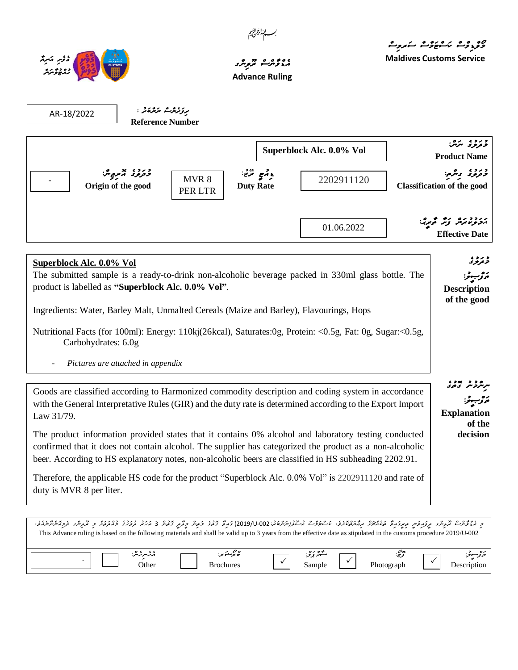

*ވގެވެށި އަނިޔާ*  <mark>، ژېڅو ترب</mark>ر

## ، و ۱۶ مربر محمد المربر و العرب العالمية و العرب العالمية و العرب العالمية و العالمية و العالمية و العالمية و ا<br>مربع العرب العرب العرب العرب العرب العالمية و العرب العالمية و العالمية و العالمية و العالمية و العالمية و ال **Advance Ruling**

*ރިފަރެންސް ނަންބަރު :* **Reference Number** د *مرین*<br>د *تروی سر*س: **Product Name** درد، <del>پ</del>ر<sub>و</sub>مبر **Origin of the good** *ޑިއުޓީ ރޭޓ:ު* **Duty Rate** د بروء ويرمي:<br>*د ترو*د ويرمي: **Classification of the good** ر دورو رو در محرچ:<br>پرونومانونتر کورش محرچ: **Effective Date** د ترتو تا<br>ترت*ونو ت ތަފްޞީލ:ު* **Description of the good ﯩﺮﯨﻠﺮﺩﯨ**  *ތަފްޞީލ:ު* **Explanation of the decision** د ، ئۇترىش ترىرىگىر مېرى مۇ مەمەر بەتەمەد، ئەھۋەم مەنزار ئەھمە 100-2019) ئەرۇ قەر دېمەر 3 مەد دەرد، دەرىر د ترىرى مەمەر بەترىرىدى. This Advance ruling is based on the following materials and shall be valid up to 3 years from the effective date as stipulated in the customs procedure 2019/U-002 AR-18/2022 **Superblock Alc. 0.0% Vol** MVR 8  $\frac{2202911120}{ }$ PER LTR - 01.06.2022 **Superblock Alc. 0.0% Vol** The submitted sample is a ready-to-drink non-alcoholic beverage packed in 330ml glass bottle. The product is labelled as **"Superblock Alc. 0.0% Vol"**. Ingredients: Water, Barley Malt, Unmalted Cereals (Maize and Barley), Flavourings, Hops Nutritional Facts (for 100ml): Energy: 110kj(26kcal), Saturates:0g, Protein: <0.5g, Fat: 0g, Sugar:<0.5g, Carbohydrates: 6.0g - *Pictures are attached in appendix* Goods are classified according to Harmonized commodity description and coding system in accordance with the General Interpretative Rules (GIR) and the duty rate is determined according to the Export Import Law 31/79. The product information provided states that it contains 0% alcohol and laboratory testing conducted confirmed that it does not contain alcohol. The supplier has categorized the product as a non-alcoholic beer. According to HS explanatory notes, non-alcoholic beers are classified in HS subheading 2202.91. Therefore, the applicable HS code for the product "Superblock Alc. 0.0% Vol" is 2202911120 and rate of duty is MVR 8 per liter.

| $0<\epsilon<\epsilon$<br>بربر سر سر سر:<br>Other | U 0<br>ے برمشہ بر:<br><b>Brochures</b> | 0000<br>سىز بوتر:<br>$\overline{\phantom{a}}$<br>Sample | oх<br>. 2.<br>ິ<br>$\cdot$<br>Photograph<br>$\circ$ | $\sim$<br>Description |
|--------------------------------------------------|----------------------------------------|---------------------------------------------------------|-----------------------------------------------------|-----------------------|

مو<sub>د وقرو</sub>م مشتر مشتر وسند من المستخدم المستخدم المستخدم المستخدم المستخدم المستخدم المستخدم المستخدم المستخدم ا<br>مستخدم المستخدم المستخدم المستخدم المستخدم المستخدم المستخدم المستخدم المستخدم المستخدم المستخدم المستخدم ال **Maldives Customs Service**